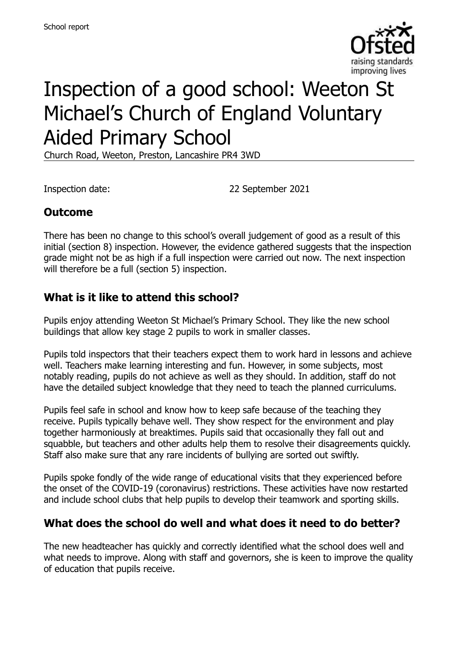

# Inspection of a good school: Weeton St Michael's Church of England Voluntary Aided Primary School

Church Road, Weeton, Preston, Lancashire PR4 3WD

Inspection date: 22 September 2021

# **Outcome**

There has been no change to this school's overall judgement of good as a result of this initial (section 8) inspection. However, the evidence gathered suggests that the inspection grade might not be as high if a full inspection were carried out now. The next inspection will therefore be a full (section 5) inspection.

# **What is it like to attend this school?**

Pupils enjoy attending Weeton St Michael's Primary School. They like the new school buildings that allow key stage 2 pupils to work in smaller classes.

Pupils told inspectors that their teachers expect them to work hard in lessons and achieve well. Teachers make learning interesting and fun. However, in some subjects, most notably reading, pupils do not achieve as well as they should. In addition, staff do not have the detailed subject knowledge that they need to teach the planned curriculums.

Pupils feel safe in school and know how to keep safe because of the teaching they receive. Pupils typically behave well. They show respect for the environment and play together harmoniously at breaktimes. Pupils said that occasionally they fall out and squabble, but teachers and other adults help them to resolve their disagreements quickly. Staff also make sure that any rare incidents of bullying are sorted out swiftly.

Pupils spoke fondly of the wide range of educational visits that they experienced before the onset of the COVID-19 (coronavirus) restrictions. These activities have now restarted and include school clubs that help pupils to develop their teamwork and sporting skills.

# **What does the school do well and what does it need to do better?**

The new headteacher has quickly and correctly identified what the school does well and what needs to improve. Along with staff and governors, she is keen to improve the quality of education that pupils receive.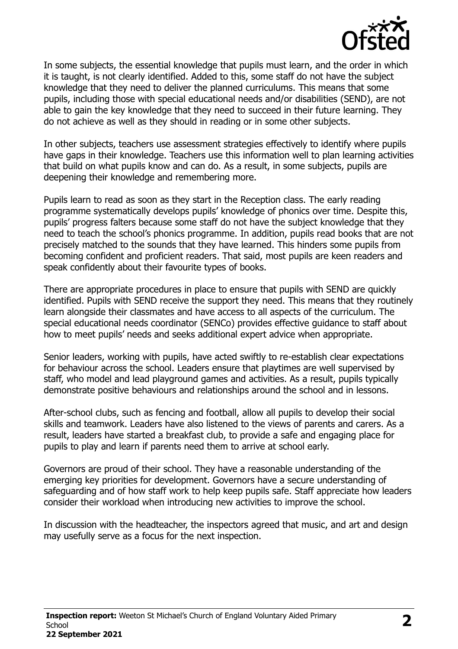

In some subjects, the essential knowledge that pupils must learn, and the order in which it is taught, is not clearly identified. Added to this, some staff do not have the subject knowledge that they need to deliver the planned curriculums. This means that some pupils, including those with special educational needs and/or disabilities (SEND), are not able to gain the key knowledge that they need to succeed in their future learning. They do not achieve as well as they should in reading or in some other subjects.

In other subjects, teachers use assessment strategies effectively to identify where pupils have gaps in their knowledge. Teachers use this information well to plan learning activities that build on what pupils know and can do. As a result, in some subjects, pupils are deepening their knowledge and remembering more.

Pupils learn to read as soon as they start in the Reception class. The early reading programme systematically develops pupils' knowledge of phonics over time. Despite this, pupils' progress falters because some staff do not have the subject knowledge that they need to teach the school's phonics programme. In addition, pupils read books that are not precisely matched to the sounds that they have learned. This hinders some pupils from becoming confident and proficient readers. That said, most pupils are keen readers and speak confidently about their favourite types of books.

There are appropriate procedures in place to ensure that pupils with SEND are quickly identified. Pupils with SEND receive the support they need. This means that they routinely learn alongside their classmates and have access to all aspects of the curriculum. The special educational needs coordinator (SENCo) provides effective guidance to staff about how to meet pupils' needs and seeks additional expert advice when appropriate.

Senior leaders, working with pupils, have acted swiftly to re-establish clear expectations for behaviour across the school. Leaders ensure that playtimes are well supervised by staff, who model and lead playground games and activities. As a result, pupils typically demonstrate positive behaviours and relationships around the school and in lessons.

After-school clubs, such as fencing and football, allow all pupils to develop their social skills and teamwork. Leaders have also listened to the views of parents and carers. As a result, leaders have started a breakfast club, to provide a safe and engaging place for pupils to play and learn if parents need them to arrive at school early.

Governors are proud of their school. They have a reasonable understanding of the emerging key priorities for development. Governors have a secure understanding of safeguarding and of how staff work to help keep pupils safe. Staff appreciate how leaders consider their workload when introducing new activities to improve the school.

In discussion with the headteacher, the inspectors agreed that music, and art and design may usefully serve as a focus for the next inspection.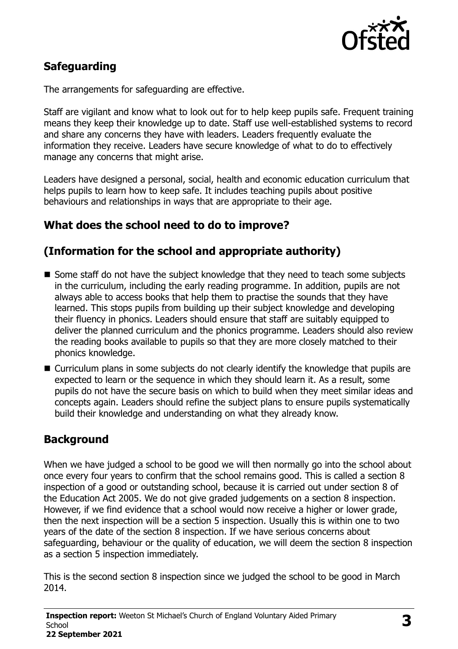

# **Safeguarding**

The arrangements for safeguarding are effective.

Staff are vigilant and know what to look out for to help keep pupils safe. Frequent training means they keep their knowledge up to date. Staff use well-established systems to record and share any concerns they have with leaders. Leaders frequently evaluate the information they receive. Leaders have secure knowledge of what to do to effectively manage any concerns that might arise.

Leaders have designed a personal, social, health and economic education curriculum that helps pupils to learn how to keep safe. It includes teaching pupils about positive behaviours and relationships in ways that are appropriate to their age.

# **What does the school need to do to improve?**

# **(Information for the school and appropriate authority)**

- $\blacksquare$  Some staff do not have the subject knowledge that they need to teach some subjects in the curriculum, including the early reading programme. In addition, pupils are not always able to access books that help them to practise the sounds that they have learned. This stops pupils from building up their subject knowledge and developing their fluency in phonics. Leaders should ensure that staff are suitably equipped to deliver the planned curriculum and the phonics programme. Leaders should also review the reading books available to pupils so that they are more closely matched to their phonics knowledge.
- Curriculum plans in some subjects do not clearly identify the knowledge that pupils are expected to learn or the sequence in which they should learn it. As a result, some pupils do not have the secure basis on which to build when they meet similar ideas and concepts again. Leaders should refine the subject plans to ensure pupils systematically build their knowledge and understanding on what they already know.

### **Background**

When we have judged a school to be good we will then normally go into the school about once every four years to confirm that the school remains good. This is called a section 8 inspection of a good or outstanding school, because it is carried out under section 8 of the Education Act 2005. We do not give graded judgements on a section 8 inspection. However, if we find evidence that a school would now receive a higher or lower grade, then the next inspection will be a section 5 inspection. Usually this is within one to two years of the date of the section 8 inspection. If we have serious concerns about safeguarding, behaviour or the quality of education, we will deem the section 8 inspection as a section 5 inspection immediately.

This is the second section 8 inspection since we judged the school to be good in March 2014.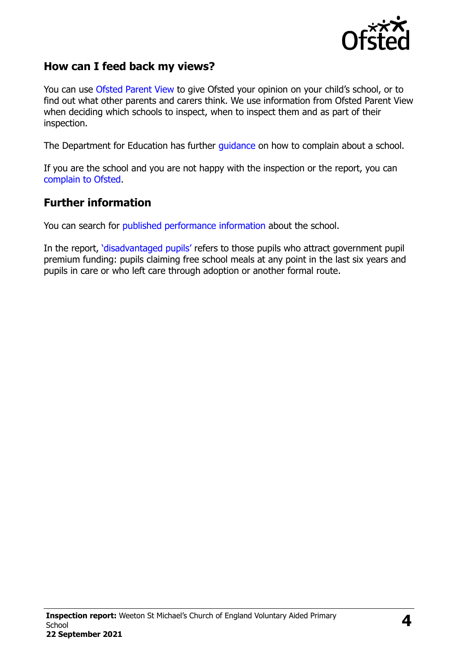

### **How can I feed back my views?**

You can use [Ofsted Parent View](https://parentview.ofsted.gov.uk/) to give Ofsted your opinion on your child's school, or to find out what other parents and carers think. We use information from Ofsted Parent View when deciding which schools to inspect, when to inspect them and as part of their inspection.

The Department for Education has further [guidance](http://www.gov.uk/complain-about-school) on how to complain about a school.

If you are the school and you are not happy with the inspection or the report, you can [complain to Ofsted.](https://www.gov.uk/complain-ofsted-report)

#### **Further information**

You can search for [published performance](http://www.compare-school-performance.service.gov.uk/) information about the school.

In the report, '[disadvantaged pupils](http://www.gov.uk/guidance/pupil-premium-information-for-schools-and-alternative-provision-settings)' refers to those pupils who attract government pupil premium funding: pupils claiming free school meals at any point in the last six years and pupils in care or who left care through adoption or another formal route.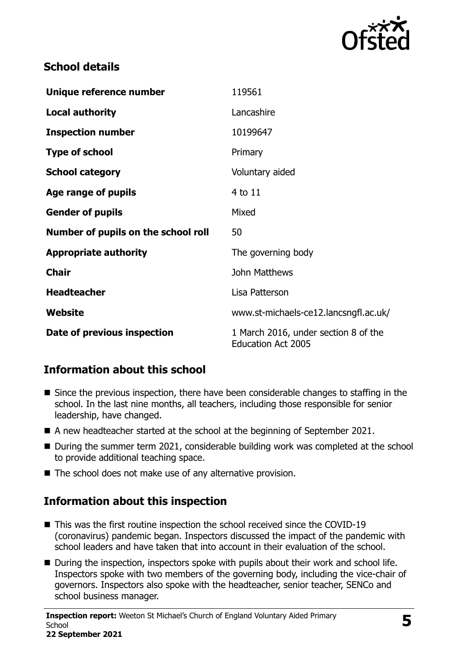

## **School details**

| Unique reference number             | 119561                                                            |
|-------------------------------------|-------------------------------------------------------------------|
| <b>Local authority</b>              | Lancashire                                                        |
| <b>Inspection number</b>            | 10199647                                                          |
| <b>Type of school</b>               | Primary                                                           |
| <b>School category</b>              | Voluntary aided                                                   |
| Age range of pupils                 | 4 to 11                                                           |
| <b>Gender of pupils</b>             | Mixed                                                             |
| Number of pupils on the school roll | 50                                                                |
| <b>Appropriate authority</b>        | The governing body                                                |
| <b>Chair</b>                        | John Matthews                                                     |
| <b>Headteacher</b>                  | Lisa Patterson                                                    |
| Website                             | www.st-michaels-ce12.lancsngfl.ac.uk/                             |
| Date of previous inspection         | 1 March 2016, under section 8 of the<br><b>Education Act 2005</b> |

# **Information about this school**

- Since the previous inspection, there have been considerable changes to staffing in the school. In the last nine months, all teachers, including those responsible for senior leadership, have changed.
- A new headteacher started at the school at the beginning of September 2021.
- During the summer term 2021, considerable building work was completed at the school to provide additional teaching space.
- The school does not make use of any alternative provision.

# **Information about this inspection**

- This was the first routine inspection the school received since the COVID-19 (coronavirus) pandemic began. Inspectors discussed the impact of the pandemic with school leaders and have taken that into account in their evaluation of the school.
- During the inspection, inspectors spoke with pupils about their work and school life. Inspectors spoke with two members of the governing body, including the vice-chair of governors. Inspectors also spoke with the headteacher, senior teacher, SENCo and school business manager.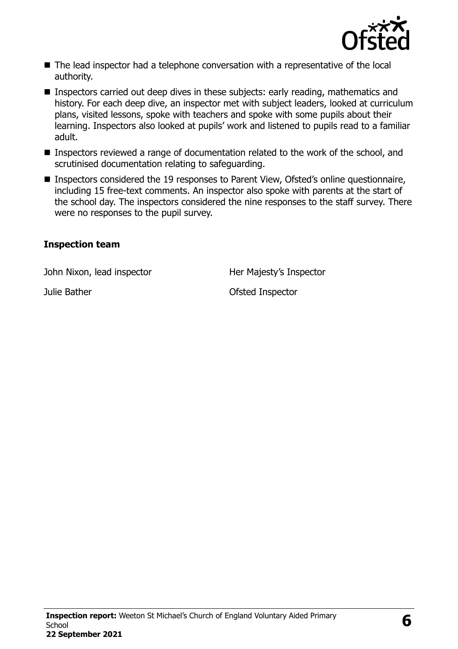

- The lead inspector had a telephone conversation with a representative of the local authority.
- **Inspectors carried out deep dives in these subjects: early reading, mathematics and** history. For each deep dive, an inspector met with subject leaders, looked at curriculum plans, visited lessons, spoke with teachers and spoke with some pupils about their learning. Inspectors also looked at pupils' work and listened to pupils read to a familiar adult.
- Inspectors reviewed a range of documentation related to the work of the school, and scrutinised documentation relating to safeguarding.
- Inspectors considered the 19 responses to Parent View, Ofsted's online questionnaire, including 15 free-text comments. An inspector also spoke with parents at the start of the school day. The inspectors considered the nine responses to the staff survey. There were no responses to the pupil survey.

#### **Inspection team**

John Nixon, lead inspector **Her Majesty's Inspector** 

**Julie Bather Contract Contract Contract Contract Contract Contract Contract Contract Contract Contract Contract Contract Contract Contract Contract Contract Contract Contract Contract Contract Contract Contract Contract C**